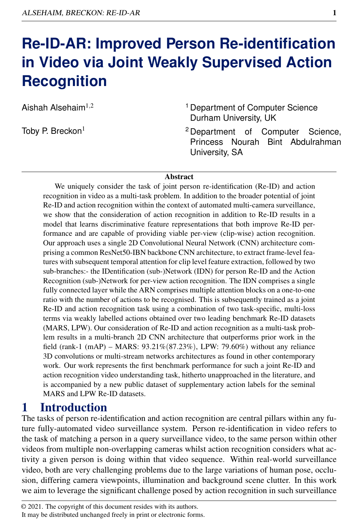# **Re-ID-AR: Improved Person Re-identification in Video via Joint Weakly Supervised Action Recognition**

Aishah Alsehaim $1,2$ 

Toby P. Breckon<sup>1</sup>

- <sup>1</sup> Department of Computer Science Durham University, UK
- <sup>2</sup> Department of Computer Science, Princess Nourah Bint Abdulrahman University, SA

#### Abstract

We uniquely consider the task of joint person re-identification (Re-ID) and action recognition in video as a multi-task problem. In addition to the broader potential of joint Re-ID and action recognition within the context of automated multi-camera surveillance, we show that the consideration of action recognition in addition to Re-ID results in a model that learns discriminative feature representations that both improve Re-ID performance and are capable of providing viable per-view (clip-wise) action recognition. Our approach uses a single 2D Convolutional Neural Network (CNN) architecture comprising a common ResNet50-IBN backbone CNN architecture, to extract frame-level features with subsequent temporal attention for clip level feature extraction, followed by two sub-branches:- the IDentification (sub-)Network (IDN) for person Re-ID and the Action Recognition (sub-)Network for per-view action recognition. The IDN comprises a single fully connected layer while the ARN comprises multiple attention blocks on a one-to-one ratio with the number of actions to be recognised. This is subsequently trained as a joint Re-ID and action recognition task using a combination of two task-specific, multi-loss terms via weakly labelled actions obtained over two leading benchmark Re-ID datasets (MARS, LPW). Our consideration of Re-ID and action recognition as a multi-task problem results in a multi-branch 2D CNN architecture that outperforms prior work in the field (rank-1 (mAP) – MARS: 93.21%(87.23%), LPW: 79.60%) without any reliance 3D convolutions or multi-stream networks architectures as found in other contemporary work. Our work represents the first benchmark performance for such a joint Re-ID and action recognition video understanding task, hitherto unapproached in the literature, and is accompanied by a new public dataset of supplementary action labels for the seminal MARS and LPW Re-ID datasets.

## 1 Introduction

The tasks of person re-identification and action recognition are central pillars within any future fully-automated video surveillance system. Person re-identification in video refers to the task of matching a person in a query surveillance video, to the same person within other videos from multiple non-overlapping cameras whilst action recognition considers what activity a given person is doing within that video sequence. Within real-world surveillance video, both are very challenging problems due to the large variations of human pose, occlusion, differing camera viewpoints, illumination and background scene clutter. In this work we aim to leverage the significant challenge posed by action recognition in such surveillance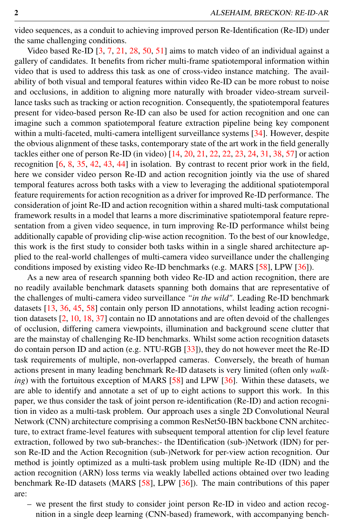video sequences, as a conduit to achieving improved person Re-Identification (Re-ID) under the same challenging conditions.

Video based Re-ID [3, 7, 21, 28, 50, 51] aims to match video of an individual against a gallery of candidates. It benefits from richer multi-frame spatiotemporal information within video that is used to address this task as one of cross-video instance matching. The availability of both visual and temporal features within video Re-ID can be more robust to noise and occlusions, in addition to aligning more naturally with broader video-stream surveillance tasks such as tracking or action recognition. Consequently, the spatiotemporal features present for video-based person Re-ID can also be used for action recognition and one can imagine such a common spatiotemporal feature extraction pipeline being key component within a multi-faceted, multi-camera intelligent surveillance systems [34]. However, despite the obvious alignment of these tasks, contemporary state of the art work in the field generally tackles either one of person Re-ID (in video) [14, 20, 21, 22, 22, 23, 24, 31, 38, 57] or action recognition [6, 8, 35, 42, 43, 44] in isolation. By contrast to recent prior work in the field, here we consider video person Re-ID and action recognition jointly via the use of shared temporal features across both tasks with a view to leveraging the additional spatiotemporal feature requirements for action recognition as a driver for improved Re-ID performance. The consideration of joint Re-ID and action recognition within a shared multi-task computational framework results in a model that learns a more discriminative spatiotemporal feature representation from a given video sequence, in turn improving Re-ID performance whilst being additionally capable of providing clip-wise action recognition. To the best of our knowledge, this work is the first study to consider both tasks within in a single shared architecture applied to the real-world challenges of multi-camera video surveillance under the challenging conditions imposed by existing video Re-ID benchmarks (e.g. MARS [58], LPW [36]).

As a new area of research spanning both video Re-ID and action recognition, there are no readily available benchmark datasets spanning both domains that are representative of the challenges of multi-camera video surveillance *"in the wild"*. Leading Re-ID benchmark datasets [13, 36, 45, 58] contain only person ID annotations, whilst leading action recognition datasets [2, 10, 18, 37] contain no ID annotations and are often devoid of the challenges of occlusion, differing camera viewpoints, illumination and background scene clutter that are the mainstay of challenging Re-ID benchmarks. Whilst some action recognition datasets do contain person ID and action (e.g. NTU-RGB [33]), they do not however meet the Re-ID task requirements of multiple, non-overlapped cameras. Conversely, the breath of human actions present in many leading benchmark Re-ID datasets is very limited (often only *walking*) with the fortuitous exception of MARS [58] and LPW [36]. Within these datasets, we are able to identify and annotate a set of up to eight actions to support this work. In this paper, we thus consider the task of joint person re-identification (Re-ID) and action recognition in video as a multi-task problem. Our approach uses a single 2D Convolutional Neural Network (CNN) architecture comprising a common ResNet50-IBN backbone CNN architecture, to extract frame-level features with subsequent temporal attention for clip level feature extraction, followed by two sub-branches:- the IDentification (sub-)Network (IDN) for person Re-ID and the Action Recognition (sub-)Network for per-view action recognition. Our method is jointly optimized as a multi-task problem using multiple Re-ID (IDN) and the action recognition (ARN) loss terms via weakly labelled actions obtained over two leading benchmark Re-ID datasets (MARS [58], LPW [36]). The main contributions of this paper are:

– we present the first study to consider joint person Re-ID in video and action recognition in a single deep learning (CNN-based) framework, with accompanying bench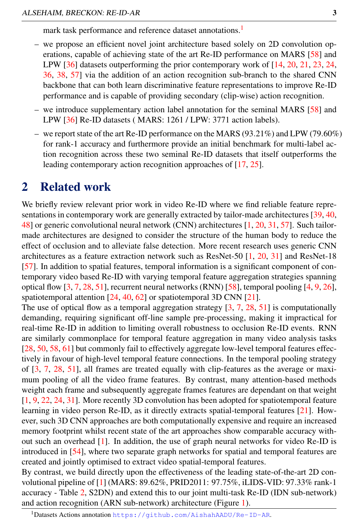mark task performance and reference dataset annotations.<sup>1</sup>

- we propose an efficient novel joint architecture based solely on 2D convolution operations, capable of achieving state of the art Re-ID performance on MARS [58] and LPW [36] datasets outperforming the prior contemporary work of [14, 20, 21, 23, 24, 36, 38, 57] via the addition of an action recognition sub-branch to the shared CNN backbone that can both learn discriminative feature representations to improve Re-ID performance and is capable of providing secondary (clip-wise) action recognition.
- we introduce supplementary action label annotation for the seminal MARS [58] and LPW [36] Re-ID datasets ( MARS: 1261 / LPW: 3771 action labels).
- we report state of the art Re-ID performance on the MARS (93.21%) and LPW (79.60%) for rank-1 accuracy and furthermore provide an initial benchmark for multi-label action recognition across these two seminal Re-ID datasets that itself outperforms the leading contemporary action recognition approaches of [17, 25].

### 2 Related work

We briefly review relevant prior work in video Re-ID where we find reliable feature representations in contemporary work are generally extracted by tailor-made architectures [39, 40, 48] or generic convolutional neural network (CNN) architectures [1, 20, 31, 57]. Such tailormade architectures are designed to consider the structure of the human body to reduce the effect of occlusion and to alleviate false detection. More recent research uses generic CNN architectures as a feature extraction network such as ResNet-50 [1, 20, 31] and ResNet-18 [57]. In addition to spatial features, temporal information is a significant component of contemporary video based Re-ID with varying temporal feature aggregation strategies spanning optical flow [3, 7, 28, 51], recurrent neural networks (RNN) [58], temporal pooling [4, 9, 26], spatiotemporal attention [24, 40, 62] or spatiotemporal 3D CNN [21].

The use of optical flow as a temporal aggregation strategy  $[3, 7, 28, 51]$  is computationally demanding, requiring significant off-line sample pre-processing, making it impractical for real-time Re-ID in addition to limiting overall robustness to occlusion Re-ID events. RNN are similarly commonplace for temporal feature aggregation in many video analysis tasks [28, 50, 58, 61] but commonly fail to effectively aggregate low-level temporal features effectively in favour of high-level temporal feature connections. In the temporal pooling strategy of [3, 7, 28, 51], all frames are treated equally with clip-features as the average or maximum pooling of all the video frame features. By contrast, many attention-based methods weight each frame and subsequently aggregate frames features are dependant on that weight [1, 9, 22, 24, 31]. More recently 3D convolution has been adopted for spatiotemporal feature learning in video person Re-ID, as it directly extracts spatial-temporal features [21]. However, such 3D CNN approaches are both computationally expensive and require an increased memory footprint whilst recent state of the art approaches show comparable accuracy without such an overhead [1]. In addition, the use of graph neural networks for video Re-ID is introduced in [54], where two separate graph networks for spatial and temporal features are created and jointly optimised to extract video spatial-temporal features.

By contrast, we build directly upon the effectiveness of the leading state-of-the-art 2D convolutional pipeline of [1] (MARS: 89.62%, PRID2011: 97.75%, iLIDS-VID: 97.33% rank-1 accuracy - Table 2, S2DN) and extend this to our joint multi-task Re-ID (IDN sub-network) and action recognition (ARN sub-network) architecture (Figure 1).

<sup>1</sup>Datasets Actions annotation https://github.com/AishahAADU/Re-ID-AR.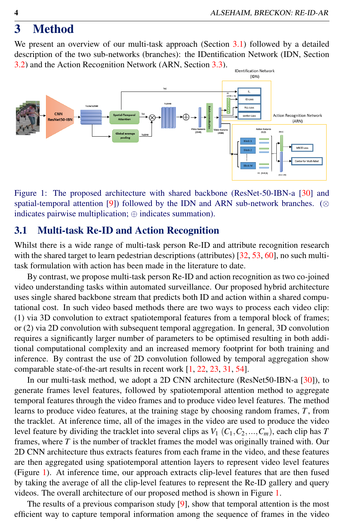## 3 Method

We present an overview of our multi-task approach (Section 3.1) followed by a detailed description of the two sub-networks (branches): the IDentification Network (IDN, Section 3.2) and the Action Recognition Network (ARN, Section 3.3).



Figure 1: The proposed architecture with shared backbone (ResNet-50-IBN-a [30] and spatial-temporal attention [9]) followed by the IDN and ARN sub-network branches. (⊗ indicates pairwise multiplication; ⊕ indicates summation).

#### 3.1 Multi-task Re-ID and Action Recognition

Whilst there is a wide range of multi-task person Re-ID and attribute recognition research with the shared target to learn pedestrian descriptions (attributes) [32, 53, 60], no such multitask formulation with action has been made in the literature to date.

By contrast, we propose multi-task person Re-ID and action recognition as two co-joined video understanding tasks within automated surveillance. Our proposed hybrid architecture uses single shared backbone stream that predicts both ID and action within a shared computational cost. In such video based methods there are two ways to process each video clip: (1) via 3D convolution to extract spatiotemporal features from a temporal block of frames; or (2) via 2D convolution with subsequent temporal aggregation. In general, 3D convolution requires a significantly larger number of parameters to be optimised resulting in both additional computational complexity and an increased memory footprint for both training and inference. By contrast the use of 2D convolution followed by temporal aggregation show comparable state-of-the-art results in recent work [1, 22, 23, 31, 54].

In our multi-task method, we adopt a 2D CNN architecture (ResNet50-IBN-a [30]), to generate frames level features, followed by spatiotemporal attention method to aggregate temporal features through the video frames and to produce video level features. The method learns to produce video features, at the training stage by choosing random frames, *T*, from the tracklet. At inference time, all of the images in the video are used to produce the video level feature by dividing the tracklet into several clips as  $V_1$  ( $C_1, C_2, ..., C_m$ ), each clip has *T* frames, where *T* is the number of tracklet frames the model was originally trained with. Our 2D CNN architecture thus extracts features from each frame in the video, and these features are then aggregated using spatiotemporal attention layers to represent video level features (Figure 1). At inference time, our approach extracts clip-level features that are then fused by taking the average of all the clip-level features to represent the Re-ID gallery and query videos. The overall architecture of our proposed method is shown in Figure 1.

The results of a previous comparison study  $[9]$ , show that temporal attention is the most efficient way to capture temporal information among the sequence of frames in the video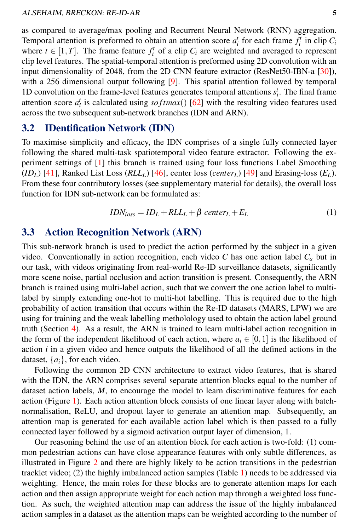as compared to average/max pooling and Recurrent Neural Network (RNN) aggregation. Temporal attention is preformed to obtain an attention score  $a_i^t$  for each frame  $f_i^t$  in clip  $C_i$ where  $t \in [1, T]$ . The frame feature  $f_i^t$  of a clip  $C_i$  are weighted and averaged to represent clip level features. The spatial-temporal attention is preformed using 2D convolution with an input dimensionality of 2048, from the 2D CNN feature extractor (ResNet50-IBN-a [30]), with a 256 dimensional output following [9]. This spatial attention followed by temporal 1D convolution on the frame-level features generates temporal attentions  $s_i^t$ . The final frame attention score  $a_i^t$  is calculated using  $softmax()$  [62] with the resulting video features used across the two subsequent sub-network branches (IDN and ARN).

#### 3.2 IDentification Network (IDN)

To maximise simplicity and efficacy, the IDN comprises of a single fully connected layer following the shared multi-task spatiotemporal video feature extractor. Following the experiment settings of [1] this branch is trained using four loss functions Label Smoothing  $(ID_L)$  [41], Ranked List Loss  $(RLL_L)$  [46], center loss (*center<sub>L</sub>*) [49] and Erasing-loss (*E<sub>L</sub>*). From these four contributory losses (see supplementary material for details), the overall loss function for IDN sub-network can be formulated as:

$$
IDN_{loss} = ID_L + RLL_L + \beta \ center_L + E_L \tag{1}
$$

#### 3.3 Action Recognition Network (ARN)

This sub-network branch is used to predict the action performed by the subject in a given video. Conventionally in action recognition, each video  $C$  has one action label  $C_a$  but in our task, with videos originating from real-world Re-ID surveillance datasets, significantly more scene noise, partial occlusion and action transition is present. Consequently, the ARN branch is trained using multi-label action, such that we convert the one action label to multilabel by simply extending one-hot to multi-hot labelling. This is required due to the high probability of action transition that occurs within the Re-ID datasets (MARS, LPW) we are using for training and the weak labelling metholology used to obtain the action label ground truth (Section 4). As a result, the ARN is trained to learn multi-label action recognition in the form of the independent likelihood of each action, where  $a_i \in [0,1]$  is the likelihood of action *i* in a given video and hence outputs the likelihood of all the defined actions in the dataset,  $\{a_i\}$ , for each video.

Following the common 2D CNN architecture to extract video features, that is shared with the IDN, the ARN comprises several separate attention blocks equal to the number of dataset action labels, *M*, to encourage the model to learn discriminative features for each action (Figure 1). Each action attention block consists of one linear layer along with batchnormalisation, ReLU, and dropout layer to generate an attention map. Subsequently, an attention map is generated for each available action label which is then passed to a fully connected layer followed by a sigmoid activation output layer of dimension, 1.

Our reasoning behind the use of an attention block for each action is two-fold: (1) common pedestrian actions can have close appearance features with only subtle differences, as illustrated in Figure 2 and there are highly likely to be action transitions in the pedestrian tracklet video; (2) the highly imbalanced action samples (Table 1) needs to be addressed via weighting. Hence, the main roles for these blocks are to generate attention maps for each action and then assign appropriate weight for each action map through a weighted loss function. As such, the weighted attention map can address the issue of the highly imbalanced action samples in a dataset as the attention maps can be weighted according to the number of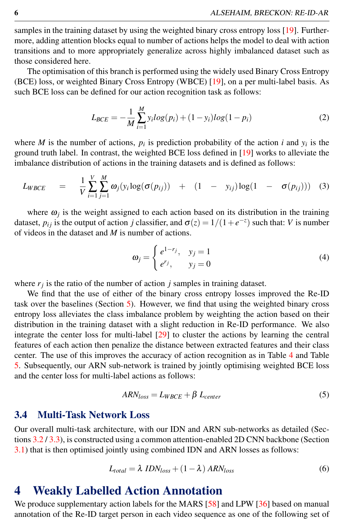samples in the training dataset by using the weighted binary cross entropy loss [19]. Furthermore, adding attention blocks equal to number of actions helps the model to deal with action transitions and to more appropriately generalize across highly imbalanced dataset such as those considered here.

The optimisation of this branch is performed using the widely used Binary Cross Entropy (BCE) loss, or weighted Binary Cross Entropy (WBCE) [19], on a per multi-label basis. As such BCE loss can be defined for our action recognition task as follows:

$$
L_{BCE} = -\frac{1}{M} \sum_{i=1}^{M} y_i \log(p_i) + (1 - y_i) \log(1 - p_i)
$$
 (2)

where *M* is the number of actions,  $p_i$  is prediction probability of the action *i* and  $y_i$  is the ground truth label. In contrast, the weighted BCE loss defined in [19] works to alleviate the imbalance distribution of actions in the training datasets and is defined as follows:

$$
L_{WBCE} = \frac{1}{V} \sum_{i=1}^{V} \sum_{j=1}^{M} \omega_j(y_i \log(\sigma(p_{ij})) + (1 - y_{ij}) \log(1 - \sigma(p_{ij}))) \quad (3)
$$

where  $\omega_j$  is the weight assigned to each action based on its distribution in the training dataset,  $p_{ij}$  is the output of action *j* classifier, and  $\sigma(z) = 1/(1 + e^{-z})$  such that: *V* is number of videos in the dataset and *M* is number of actions.

$$
\omega_j = \begin{cases} e^{1-r_j}, & y_j = 1 \\ e^{r_j}, & y_j = 0 \end{cases}
$$
 (4)

where  $r_j$  is the ratio of the number of action  $j$  samples in training dataset.

We find that the use of either of the binary cross entropy losses improved the Re-ID task over the baselines (Section 5). However, we find that using the weighted binary cross entropy loss alleviates the class imbalance problem by weighting the action based on their distribution in the training dataset with a slight reduction in Re-ID performance. We also integrate the center loss for multi-label [29] to cluster the actions by learning the central features of each action then penalize the distance between extracted features and their class center. The use of this improves the accuracy of action recognition as in Table 4 and Table 5. Subsequently, our ARN sub-network is trained by jointly optimising weighted BCE loss and the center loss for multi-label actions as follows:

$$
ARN_{loss} = L_{WBCE} + \beta L_{center}
$$
 (5)

#### 3.4 Multi-Task Network Loss

Our overall multi-task architecture, with our IDN and ARN sub-networks as detailed (Sections 3.2 / 3.3), is constructed using a common attention-enabled 2D CNN backbone (Section 3.1) that is then optimised jointly using combined IDN and ARN losses as follows:

$$
L_{total} = \lambda \; IDN_{loss} + (1 - \lambda) \; ARN_{loss} \tag{6}
$$

### 4 Weakly Labelled Action Annotation

We produce supplementary action labels for the MARS [58] and LPW [36] based on manual annotation of the Re-ID target person in each video sequence as one of the following set of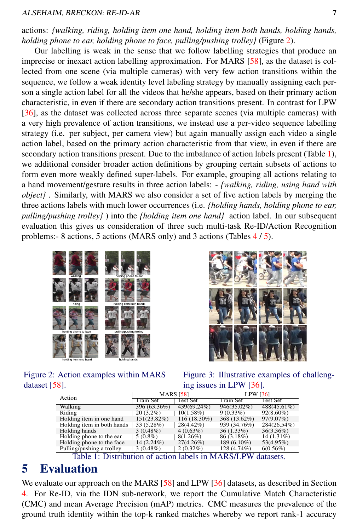#### ALSEHAIM, BRECKON: RE-ID-AR 7

actions: *{walking, riding, holding item one hand, holding item both hands, holding hands, holding phone to ear, holding phone to face, pulling/pushing trolley}* (Figure 2).

Our labelling is weak in the sense that we follow labelling strategies that produce an imprecise or inexact action labelling approximation. For MARS [58], as the dataset is collected from one scene (via multiple cameras) with very few action transitions within the sequence, we follow a weak identity level labeling strategy by manually assigning each person a single action label for all the videos that he/she appears, based on their primary action characteristic, in even if there are secondary action transitions present. In contrast for LPW [36], as the dataset was collected across three separate scenes (via multiple cameras) with a very high prevalence of action transitions, we instead use a per-video sequence labelling strategy (i.e. per subject, per camera view) but again manually assign each video a single action label, based on the primary action characteristic from that view, in even if there are secondary action transitions present. Due to the imbalance of action labels present (Table 1), we additional consider broader action definitions by grouping certain subsets of actions to form even more weakly defined super-labels. For example, grouping all actions relating to a hand movement/gesture results in three action labels: - *{walking, riding, using hand with object}* . Similarly, with MARS we also consider a set of five action labels by merging the three actions labels with much lower occurrences (i.e. *{holding hands, holding phone to ear, pulling/pushing trolley}* ) into the *{holding item one hand}* action label. In our subsequent evaluation this gives us consideration of three such multi-task Re-ID/Action Recognition problems:- 8 actions, 5 actions (MARS only) and 3 actions (Tables 4 / 5).





Figure 2: Action examples within MARS dataset [58].

Figure 3: Illustrative examples of challenging issues in LPW [36].

|                                                           |                  | <b>MARS [58]</b> |                 |                |  |  |  |
|-----------------------------------------------------------|------------------|------------------|-----------------|----------------|--|--|--|
| Action                                                    |                  |                  | <b>LPW 1361</b> |                |  |  |  |
|                                                           | <b>Train Set</b> | Test Set         | Train Set       | Test Set       |  |  |  |
| Walking                                                   | 396 (63.36%)     | 439(69.24%)      | $946(35.02\%)$  | $488(45.61\%)$ |  |  |  |
| Riding                                                    | $20(3.2\%)$      | $10(1.58\%)$     | $9(0.33\%)$     | $92(8.60\%)$   |  |  |  |
| Holding item in one hand                                  | 151(23.82%)      | 116 (18.30%)     | 368 (13.62%)    | 97(9.07%)      |  |  |  |
| Holding item in both hands                                | 33 (5.28%)       | $28(4.42\%)$     | 939 (34.76%)    | 284(26.54%)    |  |  |  |
| Holding hands                                             | $3(0.48\%)$      | $4(0.63\%)$      | $36(1.33\%)$    | $36(3.36\%)$   |  |  |  |
| Holding phone to the ear                                  | $5(0.8\%)$       | $8(1.26\%)$      | 86 (3.18%)      | $14(1.31\%)$   |  |  |  |
| Holding phone to the face                                 | 14 (2.24%)       | $27(4.26\%)$     | 189 (6.10%)     | 53(4.95%)      |  |  |  |
| Pulling/pushing a trolley                                 | $3(0.48\%)$      | $2(0.32\%)$      | 128 (4.74%)     | 6(0.56%)       |  |  |  |
| _ _<br>$\sim$ $\sim$<br>.<br>- - · - - <i>-</i> - - - - - |                  |                  |                 |                |  |  |  |

Table 1: Distribution of action labels in MARS/LPW datasets.

## 5 Evaluation

We evaluate our approach on the MARS [58] and LPW [36] datasets, as described in Section 4. For Re-ID, via the IDN sub-network, we report the Cumulative Match Characteristic (CMC) and mean Average Precision (mAP) metrics. CMC measures the prevalence of the ground truth identity within the top-k ranked matches whereby we report rank-1 accuracy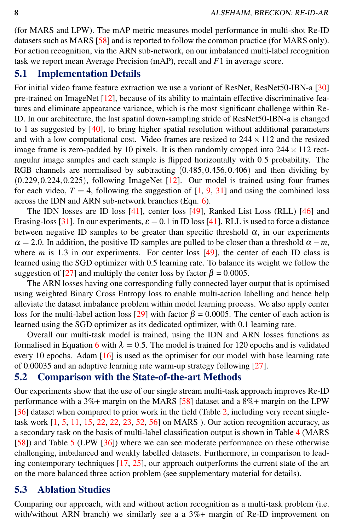(for MARS and LPW). The mAP metric measures model performance in multi-shot Re-ID datasets such as MARS [58] and is reported to follow the common practice (for MARS only). For action recognition, via the ARN sub-network, on our imbalanced multi-label recognition task we report mean Average Precision (mAP), recall and *F*1 in average score.

#### 5.1 Implementation Details

For initial video frame feature extraction we use a variant of ResNet, ResNet50-IBN-a [30] pre-trained on ImageNet [12], because of its ability to maintain effective discriminative features and eliminate appearance variance, which is the most significant challenge within Re-ID. In our architecture, the last spatial down-sampling stride of ResNet50-IBN-a is changed to 1 as suggested by [40], to bring higher spatial resolution without additional parameters and with a low computational cost. Video frames are resized to  $244 \times 112$  and the resized image frame is zero-padded by 10 pixels. It is then randomly cropped into  $244 \times 112$  rectangular image samples and each sample is flipped horizontally with 0.5 probability. The RGB channels are normalised by subtracting  $(0.485, 0.456, 0.406)$  and then dividing by (0.229,0.224,0.225), following ImageNet [12]. Our model is trained using four frames for each video,  $T = 4$ , following the suggestion of [1, 9, 31] and using the combined loss across the IDN and ARN sub-network branches (Eqn. 6).

The IDN losses are ID loss [41], center loss [49], Ranked List Loss (RLL) [46] and Erasing-loss [31]. In our experiments,  $\varepsilon = 0.1$  in ID loss [41]. RLL is used to force a distance between negative ID samples to be greater than specific threshold  $\alpha$ , in our experiments  $\alpha = 2.0$ . In addition, the positive ID samples are pulled to be closer than a threshold  $\alpha - m$ , where  $m$  is 1.3 in our experiments. For center loss  $[49]$ , the center of each ID class is learned using the SGD optimizer with 0.5 learning rate. To balance its weight we follow the suggestion of [27] and multiply the center loss by factor  $\beta = 0.0005$ .

The ARN losses having one corresponding fully connected layer output that is optimised using weighted Binary Cross Entropy loss to enable multi-action labelling and hence help alleviate the dataset imbalance problem within model learning process. We also apply center loss for the multi-label action loss [29] with factor  $\beta = 0.0005$ . The center of each action is learned using the SGD optimizer as its dedicated optimizer, with 0.1 learning rate.

Overall our multi-task model is trained, using the IDN and ARN losses functions as formalised in Equation 6 with  $\lambda = 0.5$ . The model is trained for 120 epochs and is validated every 10 epochs. Adam [16] is used as the optimiser for our model with base learning rate of 0.00035 and an adaptive learning rate warm-up strategy following [27].

#### 5.2 Comparison with the State-of-the-art Methods

Our experiments show that the use of our single stream multi-task approach improves Re-ID performance with a 3%+ margin on the MARS [58] dataset and a 8%+ margin on the LPW [36] dataset when compared to prior work in the field (Table 2, including very recent singletask work [1, 5, 11, 15, 22, 22, 23, 52, 56] on MARS ). Our action recognition accuracy, as a secondary task on the basis of multi-label classification output is shown in Table 4 (MARS [58]) and Table 5 (LPW [36]) where we can see moderate performance on these otherwise challenging, imbalanced and weakly labelled datasets. Furthermore, in comparison to leading contemporary techniques [17, 25], our approach outperforms the current state of the art on the more balanced three action problem (see supplementary material for details).

#### 5.3 Ablation Studies

Comparing our approach, with and without action recognition as a multi-task problem (i.e. with/without ARN branch) we similarly see a a  $3\%$ + margin of Re-ID improvement on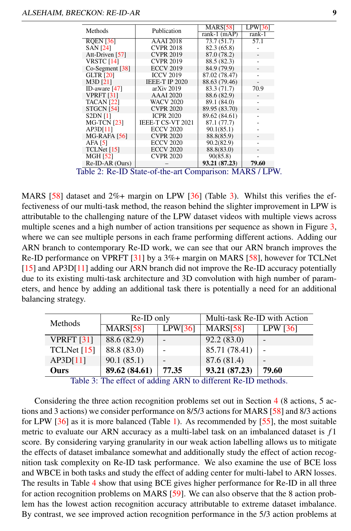| Methods            | Publication              | <b>MARS[58]</b> | LPW[36] |
|--------------------|--------------------------|-----------------|---------|
|                    |                          | rank-1 $(mAP)$  | rank-1  |
| <b>RQEN [36]</b>   | <b>AAAI</b> 2018         | 73.7(51.7)      | 57.1    |
| <b>SAN [24]</b>    | <b>CVPR 2018</b>         | 82.3 (65.8)     |         |
| Att-Driven [57]    | <b>CVPR 2019</b>         | 87.0 (78.2)     |         |
| <b>VRSTC [14]</b>  | <b>CVPR 2019</b>         | 88.5 (82.3)     |         |
| Co-Segment [38]    | <b>ECCV 2019</b>         | 84.9 (79.9)     |         |
| <b>GLTR</b> [20]   | <b>ICCV 2019</b>         | 87.02 (78.47)   |         |
| M3D [21]           | IEEE-T IP 2020           | 88.63 (79.46)   |         |
| ID-aware $[47]$    | $arXiv$ 2019             | 83.3 (71.7)     | 70.9    |
| <b>VPRFT [31]</b>  | <b>AAAI</b> 2020         | 88.6 (82.9)     |         |
| <b>TACAN</b> [22]  | <b>WACV 2020</b>         | 89.1 (84.0)     |         |
| STGCN [54]         | <b>CVPR 2020</b>         | 89.95 (83.70)   |         |
| <b>S2DN111</b>     | <b>ICPR 2020</b>         | 89.62 (84.61)   |         |
| <b>MG-TCN [23]</b> | <b>IEEE-T CS-VT 2021</b> | 87.1 (77.7)     |         |
| AP3D[11]           | <b>ECCV 2020</b>         | 90.1(85.1)      |         |
| MG-RAFA [56]       | <b>CVPR 2020</b>         | 88.8(85.9)      |         |
| AFA [5]            | <b>ECCV 2020</b>         | 90.2(82.9)      |         |
| TCLNet [15]        | <b>ECCV 2020</b>         | 88.8(83.0)      |         |
| <b>MGH [52]</b>    | <b>CVPR 2020</b>         | 90(85.8)        |         |
| Re-ID-AR (Ours)    |                          | 93.21 (87.23)   | 79.60   |

MARS  $[58]$  dataset and  $2\%$ + margin on LPW  $[36]$  (Table 3). Whilst this verifies the effectiveness of our multi-task method, the reason behind the slighter improvement in LPW is attributable to the challenging nature of the LPW dataset videos with multiple views across multiple scenes and a high number of action transitions per sequence as shown in Figure 3, where we can see multiple persons in each frame performing different actions. Adding our ARN branch to contemporary Re-ID work, we can see that our ARN branch improves the Re-ID performance on VPRFT [31] by a 3%+ margin on MARS [58], however for TCLNet [15] and AP3D[11] adding our ARN branch did not improve the Re-ID accuracy potentially due to its existing multi-task architecture and 3D convolution with high number of parameters, and hence by adding an additional task there is potentially a need for an additional balancing strategy.

| Methods             | Re-ID only           |         | Multi-task Re-ID with Action |                          |  |
|---------------------|----------------------|---------|------------------------------|--------------------------|--|
|                     | MARS <sub>[58]</sub> | LPW[36] | MARS <sub>[58]</sub>         | LPW $\lceil 36 \rceil$   |  |
| <b>VPRFT</b> $[31]$ | 88.6 (82.9)          |         | 92.2(83.0)                   | $\overline{\phantom{a}}$ |  |
| TCLNet [15]         | 88.8 (83.0)          |         | 85.71 (78.41)                |                          |  |
| AP3D[11]            | 90.1(85.1)           |         | 87.6 (81.4)                  | $\overline{\phantom{0}}$ |  |
| Ours                | 89.62 (84.61)        | 77.35   | 93.21 (87.23)                | 79.60                    |  |

Table 3: The effect of adding ARN to different Re-ID methods.

Considering the three action recognition problems set out in Section 4 (8 actions, 5 actions and 3 actions) we consider performance on 8/5/3 actions for MARS [58] and 8/3 actions for LPW [36] as it is more balanced (Table 1). As recommended by [55], the most suitable metric to evaluate our ARN accuracy as a multi-label task on an imbalanced dataset is *f* 1 score. By considering varying granularity in our weak action labelling allows us to mitigate the effects of dataset imbalance somewhat and additionally study the effect of action recognition task complexity on Re-ID task performance. We also examine the use of BCE loss and WBCE in both tasks and study the effect of adding center for multi-label to ARN losses. The results in Table 4 show that using BCE gives higher performance for Re-ID in all three for action recognition problems on MARS [59]. We can also observe that the 8 action problem has the lowest action recognition accuracy attributable to extreme dataset imbalance. By contrast, we see improved action recognition performance in the 5/3 action problems at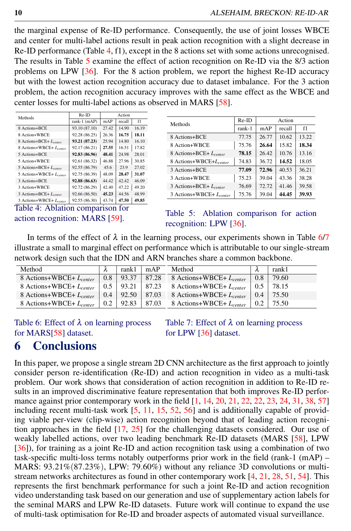the marginal expense of Re-ID performance. Consequently, the use of joint losses WBCE and center for multi-label actions result in peak action recognition with a slight decrease in Re-ID performance (Table 4, f1), except in the 8 actions set with some actions unrecognised. The results in Table 5 examine the effect of action recognition on Re-ID via the 8/3 action problems on LPW [36]. For the 8 action problem, we report the highest Re-ID accuracy but with the lowest action recognition accuracy due to dataset imbalance. For the 3 action problem, the action recognition accuracy improves with the same effect as the WBCE and center losses for multi-label actions as observed in MARS [58].

| Methods                     | Re-ID         | Action |        |       |  |
|-----------------------------|---------------|--------|--------|-------|--|
|                             | rank-1 (mAP)  | mAP    | recall | f1    |  |
| 8 Actions+BCE               | 93.10 (87.10) | 27.42  | 14.90  | 16.19 |  |
| 8 Action+WBCE               | 92.28 (86.25) | 26.36  | 16.75  | 18.11 |  |
| 8 Actions+BCE+ Lcenter      | 93.21 (87.23) | 25.94  | 14.80  | 16.10 |  |
| 8 Actions+WBCE+ Lcenter     | 92.17 (86.21) | 27.55  | 16.51  | 17.82 |  |
| 5 Actions+BCE               | 92.83 (86.96) | 48.41  | 24.98  | 28.01 |  |
| 5 Action+WBCE               | 92.61 (86.32) | 46.88  | 27.96  | 30.85 |  |
| 5 Actions+BCE+ $L_{center}$ | 92.55 (86.79) | 45.6   | 23.9   | 27.02 |  |
| 5 Actions+WBCE+ Loenter     | 92.75 (86.39) | 48.09  | 28.47  | 31.07 |  |
| 3 Actions+BCE               | 92.88 (86.63) | 44.42  | 42.42  | 46.09 |  |
| 3 Action+WBCE               | 92.72 (86.29) | 42.40  | 47.22  | 49.20 |  |
| 3 Actions+BCE+ Lcenter      | 92.66 (86.50) | 45.23  | 44.56  | 48.99 |  |
| 3 Actions+WBCE+ Lcenter     | 92.55 (86.30) | 43.74  | 47.50  | 49.85 |  |

Table 4: Ablation comparison for action recognition: MARS [59].

| Methods                             | Re-ID  | Action |        |       |
|-------------------------------------|--------|--------|--------|-------|
|                                     | rank-1 | mAP    | recall | f1    |
| 8 Actions+BCE                       | 77.75  | 26.77  | 10.62  | 13.22 |
| 8 Action+WBCE                       | 75.76  | 26.64  | 15.82  | 18.34 |
| 8 Actions+BCE+ L <sub>center</sub>  | 78.15  | 26.42  | 10.76  | 13.16 |
| 8 Actions+WBCE+L <sub>center</sub>  | 74.83  | 36.72  | 14.52  | 18.05 |
| 3 Actions+BCE                       | 77.09  | 72.96  | 40.53  | 36.21 |
| 3 Action+WBCE                       | 75.23  | 39.04  | 43.36  | 38.28 |
| 3 Actions+BCE+ $L_{center}$         | 76.69  | 72.72  | 41.46  | 39.58 |
| 3 Actions+WBCE+ L <sub>center</sub> | 75.76  | 39.04  | 44.45  | 39.93 |

Table 5: Ablation comparison for action recognition: LPW [36].

In terms of the effect of  $\lambda$  in the learning process, our experiments shown in Table 6/7 illustrate a small to marginal effect on performance which is attributable to our single-stream network design such that the IDN and ARN branches share a common backbone.

| Method                       |               | rank1 | mAP | Method                               |               | rank1 |
|------------------------------|---------------|-------|-----|--------------------------------------|---------------|-------|
| 8 Actions+WBCE+ $L_{center}$ | 0.8           | 93.37 |     | 87.28 8 Actions+WBCE+ $L_{center}$   | $0.8^{\circ}$ | 79.60 |
| 8 Actions+WBCE+ $L_{center}$ | 0.5           | 93.21 |     | $87.23$ 8 Actions+WBCE+ $L_{center}$ | 0.5           | 78.15 |
| 8 Actions+WBCE+ $L_{center}$ | $0.4^{\circ}$ | 92.50 |     | 87.03 8 Actions+WBCE+ $L_{center}$   | 0.4           | 75.50 |
| 8 Actions+WBCE+ $L_{center}$ | 0.2           | 92.83 |     | 87.03 8 Actions+WBCE+ $L_{center}$   | 0.2           | 75.50 |

Table 6: Effect of  $\lambda$  on learning process for MARS[58] dataset.

Table 7: Effect of  $\lambda$  on learning process for LPW [36] dataset.

## 6 Conclusions

In this paper, we propose a single stream 2D CNN architecture as the first approach to jointly consider person re-identification (Re-ID) and action recognition in video as a multi-task problem. Our work shows that consideration of action recognition in addition to Re-ID results in an improved discriminative feature representation that both improves Re-ID performance against prior contemporary work in the field  $[1, 14, 20, 21, 22, 22, 23, 24, 31, 38, 57]$ including recent multi-task work [5, 11, 15, 52, 56] and is additionally capable of providing viable per-view (clip-wise) action recognition beyond that of leading action recognition approaches in the field [17, 25] for the challenging datasets considered. Our use of weakly labelled actions, over two leading benchmark Re-ID datasets (MARS [58], LPW [36]), for training as a joint Re-ID and action recognition task using a combination of two task-specific multi-loss terms notably outperforms prior work in the field (rank-1 (mAP) – MARS: 93.21%(87.23%), LPW: 79.60%) without any reliance 3D convolutions or multistream networks architectures as found in other contemporary work [4, 21, 28, 51, 54]. This represents the first benchmark performance for such a joint Re-ID and action recognition video understanding task based on our generation and use of supplementary action labels for the seminal MARS and LPW Re-ID datasets. Future work will continue to expand the use of multi-task optimisation for Re-ID and broader aspects of automated visual surveillance.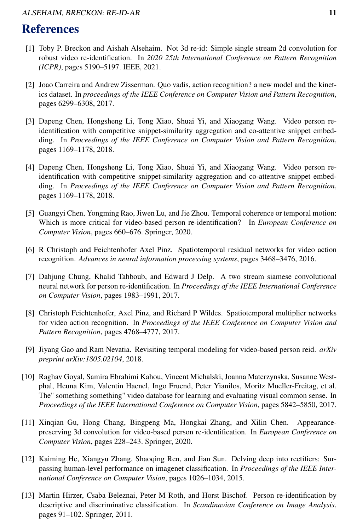## References

- [1] Toby P. Breckon and Aishah Alsehaim. Not 3d re-id: Simple single stream 2d convolution for robust video re-identification. In *2020 25th International Conference on Pattern Recognition (ICPR)*, pages 5190–5197. IEEE, 2021.
- [2] Joao Carreira and Andrew Zisserman. Quo vadis, action recognition? a new model and the kinetics dataset. In *proceedings of the IEEE Conference on Computer Vision and Pattern Recognition*, pages 6299–6308, 2017.
- [3] Dapeng Chen, Hongsheng Li, Tong Xiao, Shuai Yi, and Xiaogang Wang. Video person reidentification with competitive snippet-similarity aggregation and co-attentive snippet embedding. In *Proceedings of the IEEE Conference on Computer Vision and Pattern Recognition*, pages 1169–1178, 2018.
- [4] Dapeng Chen, Hongsheng Li, Tong Xiao, Shuai Yi, and Xiaogang Wang. Video person reidentification with competitive snippet-similarity aggregation and co-attentive snippet embedding. In *Proceedings of the IEEE Conference on Computer Vision and Pattern Recognition*, pages 1169–1178, 2018.
- [5] Guangyi Chen, Yongming Rao, Jiwen Lu, and Jie Zhou. Temporal coherence or temporal motion: Which is more critical for video-based person re-identification? In *European Conference on Computer Vision*, pages 660–676. Springer, 2020.
- [6] R Christoph and Feichtenhofer Axel Pinz. Spatiotemporal residual networks for video action recognition. *Advances in neural information processing systems*, pages 3468–3476, 2016.
- [7] Dahjung Chung, Khalid Tahboub, and Edward J Delp. A two stream siamese convolutional neural network for person re-identification. In *Proceedings of the IEEE International Conference on Computer Vision*, pages 1983–1991, 2017.
- [8] Christoph Feichtenhofer, Axel Pinz, and Richard P Wildes. Spatiotemporal multiplier networks for video action recognition. In *Proceedings of the IEEE Conference on Computer Vision and Pattern Recognition*, pages 4768–4777, 2017.
- [9] Jiyang Gao and Ram Nevatia. Revisiting temporal modeling for video-based person reid. *arXiv preprint arXiv:1805.02104*, 2018.
- [10] Raghav Goyal, Samira Ebrahimi Kahou, Vincent Michalski, Joanna Materzynska, Susanne Westphal, Heuna Kim, Valentin Haenel, Ingo Fruend, Peter Yianilos, Moritz Mueller-Freitag, et al. The" something something" video database for learning and evaluating visual common sense. In *Proceedings of the IEEE International Conference on Computer Vision*, pages 5842–5850, 2017.
- [11] Xinqian Gu, Hong Chang, Bingpeng Ma, Hongkai Zhang, and Xilin Chen. Appearancepreserving 3d convolution for video-based person re-identification. In *European Conference on Computer Vision*, pages 228–243. Springer, 2020.
- [12] Kaiming He, Xiangyu Zhang, Shaoqing Ren, and Jian Sun. Delving deep into rectifiers: Surpassing human-level performance on imagenet classification. In *Proceedings of the IEEE International Conference on Computer Vision*, pages 1026–1034, 2015.
- [13] Martin Hirzer, Csaba Beleznai, Peter M Roth, and Horst Bischof. Person re-identification by descriptive and discriminative classification. In *Scandinavian Conference on Image Analysis*, pages 91–102. Springer, 2011.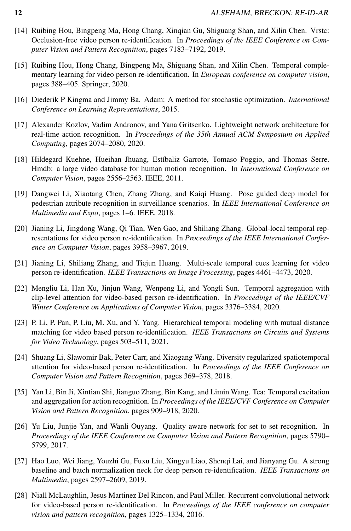- [14] Ruibing Hou, Bingpeng Ma, Hong Chang, Xinqian Gu, Shiguang Shan, and Xilin Chen. Vrstc: Occlusion-free video person re-identification. In *Proceedings of the IEEE Conference on Computer Vision and Pattern Recognition*, pages 7183–7192, 2019.
- [15] Ruibing Hou, Hong Chang, Bingpeng Ma, Shiguang Shan, and Xilin Chen. Temporal complementary learning for video person re-identification. In *European conference on computer vision*, pages 388–405. Springer, 2020.
- [16] Diederik P Kingma and Jimmy Ba. Adam: A method for stochastic optimization. *International Conference on Learning Representations*, 2015.
- [17] Alexander Kozlov, Vadim Andronov, and Yana Gritsenko. Lightweight network architecture for real-time action recognition. In *Proceedings of the 35th Annual ACM Symposium on Applied Computing*, pages 2074–2080, 2020.
- [18] Hildegard Kuehne, Hueihan Jhuang, Estíbaliz Garrote, Tomaso Poggio, and Thomas Serre. Hmdb: a large video database for human motion recognition. In *International Conference on Computer Vision*, pages 2556–2563. IEEE, 2011.
- [19] Dangwei Li, Xiaotang Chen, Zhang Zhang, and Kaiqi Huang. Pose guided deep model for pedestrian attribute recognition in surveillance scenarios. In *IEEE International Conference on Multimedia and Expo*, pages 1–6. IEEE, 2018.
- [20] Jianing Li, Jingdong Wang, Qi Tian, Wen Gao, and Shiliang Zhang. Global-local temporal representations for video person re-identification. In *Proceedings of the IEEE International Conference on Computer Vision*, pages 3958–3967, 2019.
- [21] Jianing Li, Shiliang Zhang, and Tiejun Huang. Multi-scale temporal cues learning for video person re-identification. *IEEE Transactions on Image Processing*, pages 4461–4473, 2020.
- [22] Mengliu Li, Han Xu, Jinjun Wang, Wenpeng Li, and Yongli Sun. Temporal aggregation with clip-level attention for video-based person re-identification. In *Proceedings of the IEEE/CVF Winter Conference on Applications of Computer Vision*, pages 3376–3384, 2020.
- [23] P. Li, P. Pan, P. Liu, M. Xu, and Y. Yang. Hierarchical temporal modeling with mutual distance matching for video based person re-identification. *IEEE Transactions on Circuits and Systems for Video Technology*, pages 503–511, 2021.
- [24] Shuang Li, Slawomir Bak, Peter Carr, and Xiaogang Wang. Diversity regularized spatiotemporal attention for video-based person re-identification. In *Proceedings of the IEEE Conference on Computer Vision and Pattern Recognition*, pages 369–378, 2018.
- [25] Yan Li, Bin Ji, Xintian Shi, Jianguo Zhang, Bin Kang, and Limin Wang. Tea: Temporal excitation and aggregation for action recognition. In *Proceedings of the IEEE/CVF Conference on Computer Vision and Pattern Recognition*, pages 909–918, 2020.
- [26] Yu Liu, Junjie Yan, and Wanli Ouyang. Quality aware network for set to set recognition. In *Proceedings of the IEEE Conference on Computer Vision and Pattern Recognition*, pages 5790– 5799, 2017.
- [27] Hao Luo, Wei Jiang, Youzhi Gu, Fuxu Liu, Xingyu Liao, Shenqi Lai, and Jianyang Gu. A strong baseline and batch normalization neck for deep person re-identification. *IEEE Transactions on Multimedia*, pages 2597–2609, 2019.
- [28] Niall McLaughlin, Jesus Martinez Del Rincon, and Paul Miller. Recurrent convolutional network for video-based person re-identification. In *Proceedings of the IEEE conference on computer vision and pattern recognition*, pages 1325–1334, 2016.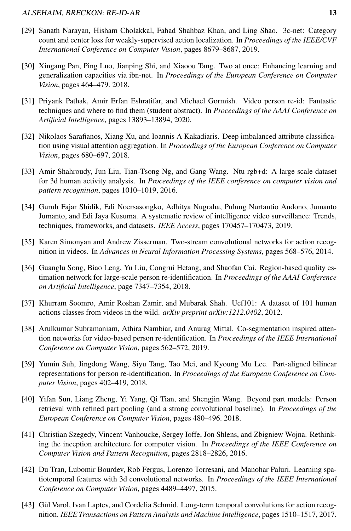- [29] Sanath Narayan, Hisham Cholakkal, Fahad Shahbaz Khan, and Ling Shao. 3c-net: Category count and center loss for weakly-supervised action localization. In *Proceedings of the IEEE/CVF International Conference on Computer Vision*, pages 8679–8687, 2019.
- [30] Xingang Pan, Ping Luo, Jianping Shi, and Xiaoou Tang. Two at once: Enhancing learning and generalization capacities via ibn-net. In *Proceedings of the European Conference on Computer Vision*, pages 464–479. 2018.
- [31] Priyank Pathak, Amir Erfan Eshratifar, and Michael Gormish. Video person re-id: Fantastic techniques and where to find them (student abstract). In *Proceedings of the AAAI Conference on Artificial Intelligence*, pages 13893–13894, 2020.
- [32] Nikolaos Sarafianos, Xiang Xu, and Ioannis A Kakadiaris. Deep imbalanced attribute classification using visual attention aggregation. In *Proceedings of the European Conference on Computer Vision*, pages 680–697, 2018.
- [33] Amir Shahroudy, Jun Liu, Tian-Tsong Ng, and Gang Wang. Ntu rgb+d: A large scale dataset for 3d human activity analysis. In *Proceedings of the IEEE conference on computer vision and pattern recognition*, pages 1010–1019, 2016.
- [34] Guruh Fajar Shidik, Edi Noersasongko, Adhitya Nugraha, Pulung Nurtantio Andono, Jumanto Jumanto, and Edi Jaya Kusuma. A systematic review of intelligence video surveillance: Trends, techniques, frameworks, and datasets. *IEEE Access*, pages 170457–170473, 2019.
- [35] Karen Simonyan and Andrew Zisserman. Two-stream convolutional networks for action recognition in videos. In *Advances in Neural Information Processing Systems*, pages 568–576, 2014.
- [36] Guanglu Song, Biao Leng, Yu Liu, Congrui Hetang, and Shaofan Cai. Region-based quality estimation network for large-scale person re-identification. In *Proceedings of the AAAI Conference on Artificial Intelligence*, page 7347–7354, 2018.
- [37] Khurram Soomro, Amir Roshan Zamir, and Mubarak Shah. Ucf101: A dataset of 101 human actions classes from videos in the wild. *arXiv preprint arXiv:1212.0402*, 2012.
- [38] Arulkumar Subramaniam, Athira Nambiar, and Anurag Mittal. Co-segmentation inspired attention networks for video-based person re-identification. In *Proceedings of the IEEE International Conference on Computer Vision*, pages 562–572, 2019.
- [39] Yumin Suh, Jingdong Wang, Siyu Tang, Tao Mei, and Kyoung Mu Lee. Part-aligned bilinear representations for person re-identification. In *Proceedings of the European Conference on Computer Vision*, pages 402–419, 2018.
- [40] Yifan Sun, Liang Zheng, Yi Yang, Qi Tian, and Shengjin Wang. Beyond part models: Person retrieval with refined part pooling (and a strong convolutional baseline). In *Proceedings of the European Conference on Computer Vision*, pages 480–496. 2018.
- [41] Christian Szegedy, Vincent Vanhoucke, Sergey Ioffe, Jon Shlens, and Zbigniew Wojna. Rethinking the inception architecture for computer vision. In *Proceedings of the IEEE Conference on Computer Vision and Pattern Recognition*, pages 2818–2826, 2016.
- [42] Du Tran, Lubomir Bourdev, Rob Fergus, Lorenzo Torresani, and Manohar Paluri. Learning spatiotemporal features with 3d convolutional networks. In *Proceedings of the IEEE International Conference on Computer Vision*, pages 4489–4497, 2015.
- [43] Gül Varol, Ivan Laptev, and Cordelia Schmid. Long-term temporal convolutions for action recognition. *IEEE Transactions on Pattern Analysis and Machine Intelligence*, pages 1510–1517, 2017.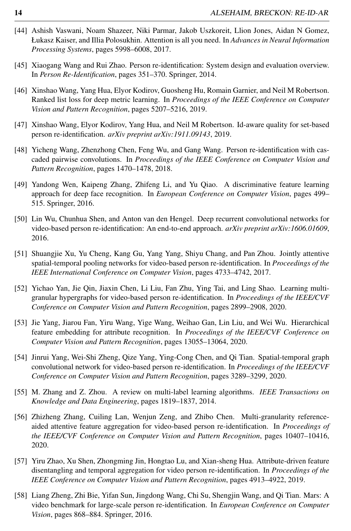- [44] Ashish Vaswani, Noam Shazeer, Niki Parmar, Jakob Uszkoreit, Llion Jones, Aidan N Gomez, Łukasz Kaiser, and Illia Polosukhin. Attention is all you need. In *Advances in Neural Information Processing Systems*, pages 5998–6008, 2017.
- [45] Xiaogang Wang and Rui Zhao. Person re-identification: System design and evaluation overview. In *Person Re-Identification*, pages 351–370. Springer, 2014.
- [46] Xinshao Wang, Yang Hua, Elyor Kodirov, Guosheng Hu, Romain Garnier, and Neil M Robertson. Ranked list loss for deep metric learning. In *Proceedings of the IEEE Conference on Computer Vision and Pattern Recognition*, pages 5207–5216, 2019.
- [47] Xinshao Wang, Elyor Kodirov, Yang Hua, and Neil M Robertson. Id-aware quality for set-based person re-identification. *arXiv preprint arXiv:1911.09143*, 2019.
- [48] Yicheng Wang, Zhenzhong Chen, Feng Wu, and Gang Wang. Person re-identification with cascaded pairwise convolutions. In *Proceedings of the IEEE Conference on Computer Vision and Pattern Recognition*, pages 1470–1478, 2018.
- [49] Yandong Wen, Kaipeng Zhang, Zhifeng Li, and Yu Qiao. A discriminative feature learning approach for deep face recognition. In *European Conference on Computer Vision*, pages 499– 515. Springer, 2016.
- [50] Lin Wu, Chunhua Shen, and Anton van den Hengel. Deep recurrent convolutional networks for video-based person re-identification: An end-to-end approach. *arXiv preprint arXiv:1606.01609*, 2016.
- [51] Shuangjie Xu, Yu Cheng, Kang Gu, Yang Yang, Shiyu Chang, and Pan Zhou. Jointly attentive spatial-temporal pooling networks for video-based person re-identification. In *Proceedings of the IEEE International Conference on Computer Vision*, pages 4733–4742, 2017.
- [52] Yichao Yan, Jie Qin, Jiaxin Chen, Li Liu, Fan Zhu, Ying Tai, and Ling Shao. Learning multigranular hypergraphs for video-based person re-identification. In *Proceedings of the IEEE/CVF Conference on Computer Vision and Pattern Recognition*, pages 2899–2908, 2020.
- [53] Jie Yang, Jiarou Fan, Yiru Wang, Yige Wang, Weihao Gan, Lin Liu, and Wei Wu. Hierarchical feature embedding for attribute recognition. In *Proceedings of the IEEE/CVF Conference on Computer Vision and Pattern Recognition*, pages 13055–13064, 2020.
- [54] Jinrui Yang, Wei-Shi Zheng, Qize Yang, Ying-Cong Chen, and Qi Tian. Spatial-temporal graph convolutional network for video-based person re-identification. In *Proceedings of the IEEE/CVF Conference on Computer Vision and Pattern Recognition*, pages 3289–3299, 2020.
- [55] M. Zhang and Z. Zhou. A review on multi-label learning algorithms. *IEEE Transactions on Knowledge and Data Engineering*, pages 1819–1837, 2014.
- [56] Zhizheng Zhang, Cuiling Lan, Wenjun Zeng, and Zhibo Chen. Multi-granularity referenceaided attentive feature aggregation for video-based person re-identification. In *Proceedings of the IEEE/CVF Conference on Computer Vision and Pattern Recognition*, pages 10407–10416, 2020.
- [57] Yiru Zhao, Xu Shen, Zhongming Jin, Hongtao Lu, and Xian-sheng Hua. Attribute-driven feature disentangling and temporal aggregation for video person re-identification. In *Proceedings of the IEEE Conference on Computer Vision and Pattern Recognition*, pages 4913–4922, 2019.
- [58] Liang Zheng, Zhi Bie, Yifan Sun, Jingdong Wang, Chi Su, Shengjin Wang, and Qi Tian. Mars: A video benchmark for large-scale person re-identification. In *European Conference on Computer Vision*, pages 868–884. Springer, 2016.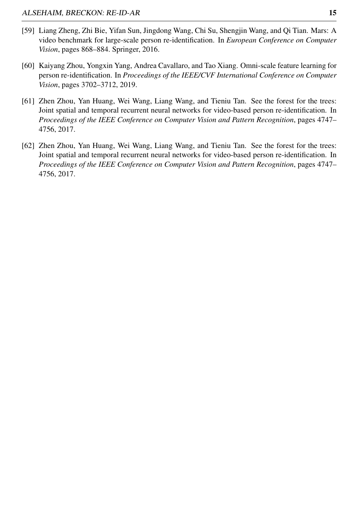- [59] Liang Zheng, Zhi Bie, Yifan Sun, Jingdong Wang, Chi Su, Shengjin Wang, and Qi Tian. Mars: A video benchmark for large-scale person re-identification. In *European Conference on Computer Vision*, pages 868–884. Springer, 2016.
- [60] Kaiyang Zhou, Yongxin Yang, Andrea Cavallaro, and Tao Xiang. Omni-scale feature learning for person re-identification. In *Proceedings of the IEEE/CVF International Conference on Computer Vision*, pages 3702–3712, 2019.
- [61] Zhen Zhou, Yan Huang, Wei Wang, Liang Wang, and Tieniu Tan. See the forest for the trees: Joint spatial and temporal recurrent neural networks for video-based person re-identification. In *Proceedings of the IEEE Conference on Computer Vision and Pattern Recognition*, pages 4747– 4756, 2017.
- [62] Zhen Zhou, Yan Huang, Wei Wang, Liang Wang, and Tieniu Tan. See the forest for the trees: Joint spatial and temporal recurrent neural networks for video-based person re-identification. In *Proceedings of the IEEE Conference on Computer Vision and Pattern Recognition*, pages 4747– 4756, 2017.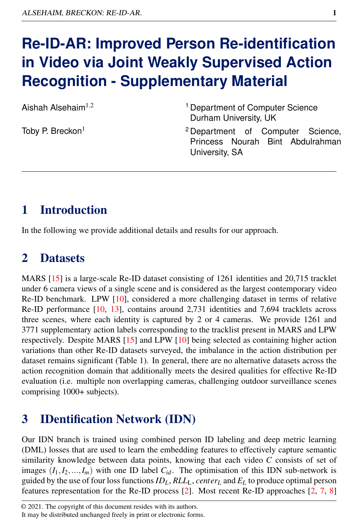# **Re-ID-AR: Improved Person Re-identification in Video via Joint Weakly Supervised Action Recognition - Supplementary Material**

Aishah Alsehaim $1,2$ 

Toby P. Breckon<sup>1</sup>

<sup>1</sup> Department of Computer Science Durham University, UK

<sup>2</sup> Department of Computer Science, Princess Nourah Bint Abdulrahman University, SA

# 1 Introduction

In the following we provide additional details and results for our approach.

# 2 Datasets

MARS [15] is a large-scale Re-ID dataset consisting of 1261 identities and 20,715 tracklet under 6 camera views of a single scene and is considered as the largest contemporary video Re-ID benchmark. LPW [10], considered a more challenging dataset in terms of relative Re-ID performance [10, 13], contains around 2,731 identities and 7,694 tracklets across three scenes, where each identity is captured by 2 or 4 cameras. We provide 1261 and 3771 supplementary action labels corresponding to the tracklist present in MARS and LPW respectively. Despite MARS [15] and LPW [10] being selected as containing higher action variations than other Re-ID datasets surveyed, the imbalance in the action distribution per dataset remains significant (Table 1). In general, there are no alternative datasets across the action recognition domain that additionally meets the desired qualities for effective Re-ID evaluation (i.e. multiple non overlapping cameras, challenging outdoor surveillance scenes comprising 1000+ subjects).

# 3 IDentification Network (IDN)

Our IDN branch is trained using combined person ID labeling and deep metric learning (DML) losses that are used to learn the embedding features to effectively capture semantic similarity knowledge between data points, knowing that each video *C* consists of set of images  $(I_1, I_2, ..., I_m)$  with one ID label  $C_{id}$ . The optimisation of this IDN sub-network is guided by the use of four loss functions  $ID<sub>L</sub>$ ,  $RLL<sub>L</sub>$ , *center<sub>L</sub>* and  $E<sub>L</sub>$  to produce optimal person features representation for the Re-ID process [2]. Most recent Re-ID approaches [2, 7, 8]

It may be distributed unchanged freely in print or electronic forms.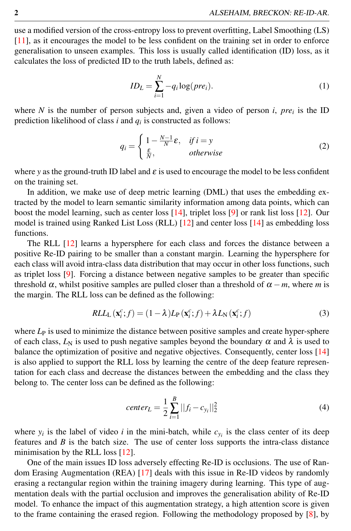use a modified version of the cross-entropy loss to prevent overfitting, Label Smoothing (LS) [11], as it encourages the model to be less confident on the training set in order to enforce generalisation to unseen examples. This loss is usually called identification (ID) loss, as it calculates the loss of predicted ID to the truth labels, defined as:

$$
ID_L = \sum_{i=1}^{N} -q_i \log(pre_i). \tag{1}
$$

where *N* is the number of person subjects and, given a video of person *i*, *pre<sup>i</sup>* is the ID prediction likelihood of class *i* and *q<sup>i</sup>* is constructed as follows:

$$
q_i = \begin{cases} 1 - \frac{N-1}{N} \varepsilon, & if \ i = y \\ \frac{\varepsilon}{N}, & otherwise \end{cases}
$$
 (2)

where *y* as the ground-truth ID label and  $\varepsilon$  is used to encourage the model to be less confident on the training set.

In addition, we make use of deep metric learning (DML) that uses the embedding extracted by the model to learn semantic similarity information among data points, which can boost the model learning, such as center loss [14], triplet loss [9] or rank list loss [12]. Our model is trained using Ranked List Loss (RLL) [12] and center loss [14] as embedding loss functions.

The RLL [12] learns a hypersphere for each class and forces the distance between a positive Re-ID pairing to be smaller than a constant margin. Learning the hypersphere for each class will avoid intra-class data distribution that may occur in other loss functions, such as triplet loss [9]. Forcing a distance between negative samples to be greater than specific threshold  $\alpha$ , whilst positive samples are pulled closer than a threshold of  $\alpha - m$ , where *m* is the margin. The RLL loss can be defined as the following:

$$
RLL_{\text{L}}\left(\mathbf{x}_{i}^{c};f\right) = (1-\lambda)L_{\text{P}}\left(\mathbf{x}_{i}^{c};f\right) + \lambda L_{\text{N}}\left(\mathbf{x}_{i}^{c};f\right) \tag{3}
$$

where  $L<sub>P</sub>$  is used to minimize the distance between positive samples and create hyper-sphere of each class,  $L_N$  is used to push negative samples beyond the boundary  $\alpha$  and  $\lambda$  is used to balance the optimization of positive and negative objectives. Consequently, center loss [14] is also applied to support the RLL loss by learning the centre of the deep feature representation for each class and decrease the distances between the embedding and the class they belong to. The center loss can be defined as the following:

$$
center_{L} = \frac{1}{2} \sum_{i=1}^{B} ||f_{i} - c_{y_{i}}||_{2}^{2}
$$
\n(4)

where  $y_i$  is the label of video *i* in the mini-batch, while  $c_{y_i}$  is the class center of its deep features and *B* is the batch size. The use of center loss supports the intra-class distance minimisation by the RLL loss [12].

One of the main issues ID loss adversely effecting Re-ID is occlusions. The use of Random Erasing Augmentation (REA) [17] deals with this issue in Re-ID videos by randomly erasing a rectangular region within the training imagery during learning. This type of augmentation deals with the partial occlusion and improves the generalisation ability of Re-ID model. To enhance the impact of this augmentation strategy, a high attention score is given to the frame containing the erased region. Following the methodology proposed by  $[8]$ , by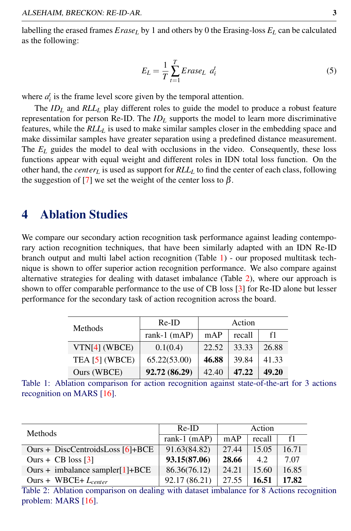labelling the erased frames  $Erase<sub>L</sub>$  by 1 and others by 0 the Erasing-loss  $E<sub>L</sub>$  can be calculated as the following:

$$
E_L = \frac{1}{T} \sum_{t=1}^{T} E \, \text{rase}_L \, \, a_i^t \tag{5}
$$

where  $a_i^t$  is the frame level score given by the temporal attention.

The *ID<sup>L</sup>* and *RLL<sup>L</sup>* play different roles to guide the model to produce a robust feature representation for person Re-ID. The *ID<sup>L</sup>* supports the model to learn more discriminative features, while the *RLL<sup>L</sup>* is used to make similar samples closer in the embedding space and make dissimilar samples have greater separation using a predefined distance measurement. The  $E_L$  guides the model to deal with occlusions in the video. Consequently, these loss functions appear with equal weight and different roles in IDN total loss function. On the other hand, the *center<sup>L</sup>* is used as support for *RLL<sup>L</sup>* to find the center of each class, following the suggestion of [7] we set the weight of the center loss to  $\beta$ .

## 4 Ablation Studies

We compare our secondary action recognition task performance against leading contemporary action recognition techniques, that have been similarly adapted with an IDN Re-ID branch output and multi label action recognition (Table 1) - our proposed multitask technique is shown to offer superior action recognition performance. We also compare against alternative strategies for dealing with dataset imbalance (Table 2), where our approach is shown to offer comparable performance to the use of CB loss [3] for Re-ID alone but lesser performance for the secondary task of action recognition across the board.

| <b>Methods</b>  | $Re-ID$       | Action |        |       |
|-----------------|---------------|--------|--------|-------|
|                 | rank-1 (mAP)  | mAP    | recall | f1    |
| $VTN[4]$ (WBCE) | 0.1(0.4)      | 22.52  | 33.33  | 26.88 |
| TEA [5] (WBCE)  | 65.22(53.00)  | 46.88  | 39.84  | 41.33 |
| Ours (WBCE)     | 92.72 (86.29) | 42.40  | 47.22  | 49.20 |

Table 1: Ablation comparison for action recognition against state-of-the-art for 3 actions recognition on MARS [16].

| Methods                            | $Re-ID$        | Action |        |       |
|------------------------------------|----------------|--------|--------|-------|
|                                    | rank-1 $(mAP)$ | mAP    | recall | f1    |
| Ours + DiscCentroidsLoss $[6]+BCE$ | 91.63(84.82)   | 27.44  | 15.05  | 16.71 |
| Ours + CB loss $[3]$               | 93.15(87.06)   | 28.66  | 4.2    | 7.07  |
| Ours + imbalance sampler[1]+BCE    | 86.36(76.12)   | 24.21  | 15.60  | 16.85 |
| Ours + WBCE+ $L_{center}$          | 92.17 (86.21)  | 27.55  | 16.51  | 17.82 |

Table 2: Ablation comparison on dealing with dataset imbalance for 8 Actions recognition problem: MARS [16].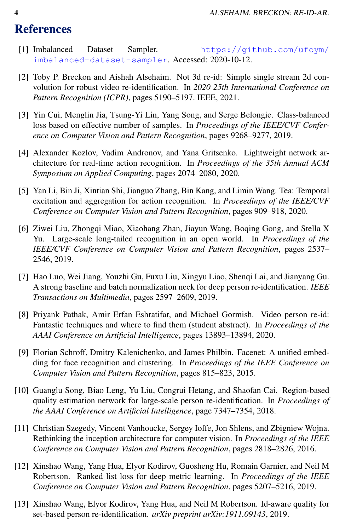## **References**

- [1] Imbalanced Dataset Sampler. https://github.com/ufoym/ imbalanced-dataset-sampler. Accessed: 2020-10-12.
- [2] Toby P. Breckon and Aishah Alsehaim. Not 3d re-id: Simple single stream 2d convolution for robust video re-identification. In *2020 25th International Conference on Pattern Recognition (ICPR)*, pages 5190–5197. IEEE, 2021.
- [3] Yin Cui, Menglin Jia, Tsung-Yi Lin, Yang Song, and Serge Belongie. Class-balanced loss based on effective number of samples. In *Proceedings of the IEEE/CVF Conference on Computer Vision and Pattern Recognition*, pages 9268–9277, 2019.
- [4] Alexander Kozlov, Vadim Andronov, and Yana Gritsenko. Lightweight network architecture for real-time action recognition. In *Proceedings of the 35th Annual ACM Symposium on Applied Computing*, pages 2074–2080, 2020.
- [5] Yan Li, Bin Ji, Xintian Shi, Jianguo Zhang, Bin Kang, and Limin Wang. Tea: Temporal excitation and aggregation for action recognition. In *Proceedings of the IEEE/CVF Conference on Computer Vision and Pattern Recognition*, pages 909–918, 2020.
- [6] Ziwei Liu, Zhongqi Miao, Xiaohang Zhan, Jiayun Wang, Boqing Gong, and Stella X Yu. Large-scale long-tailed recognition in an open world. In *Proceedings of the IEEE/CVF Conference on Computer Vision and Pattern Recognition*, pages 2537– 2546, 2019.
- [7] Hao Luo, Wei Jiang, Youzhi Gu, Fuxu Liu, Xingyu Liao, Shenqi Lai, and Jianyang Gu. A strong baseline and batch normalization neck for deep person re-identification. *IEEE Transactions on Multimedia*, pages 2597–2609, 2019.
- [8] Priyank Pathak, Amir Erfan Eshratifar, and Michael Gormish. Video person re-id: Fantastic techniques and where to find them (student abstract). In *Proceedings of the AAAI Conference on Artificial Intelligence*, pages 13893–13894, 2020.
- [9] Florian Schroff, Dmitry Kalenichenko, and James Philbin. Facenet: A unified embedding for face recognition and clustering. In *Proceedings of the IEEE Conference on Computer Vision and Pattern Recognition*, pages 815–823, 2015.
- [10] Guanglu Song, Biao Leng, Yu Liu, Congrui Hetang, and Shaofan Cai. Region-based quality estimation network for large-scale person re-identification. In *Proceedings of the AAAI Conference on Artificial Intelligence*, page 7347–7354, 2018.
- [11] Christian Szegedy, Vincent Vanhoucke, Sergey Ioffe, Jon Shlens, and Zbigniew Wojna. Rethinking the inception architecture for computer vision. In *Proceedings of the IEEE Conference on Computer Vision and Pattern Recognition*, pages 2818–2826, 2016.
- [12] Xinshao Wang, Yang Hua, Elyor Kodirov, Guosheng Hu, Romain Garnier, and Neil M Robertson. Ranked list loss for deep metric learning. In *Proceedings of the IEEE Conference on Computer Vision and Pattern Recognition*, pages 5207–5216, 2019.
- [13] Xinshao Wang, Elyor Kodirov, Yang Hua, and Neil M Robertson. Id-aware quality for set-based person re-identification. *arXiv preprint arXiv:1911.09143*, 2019.